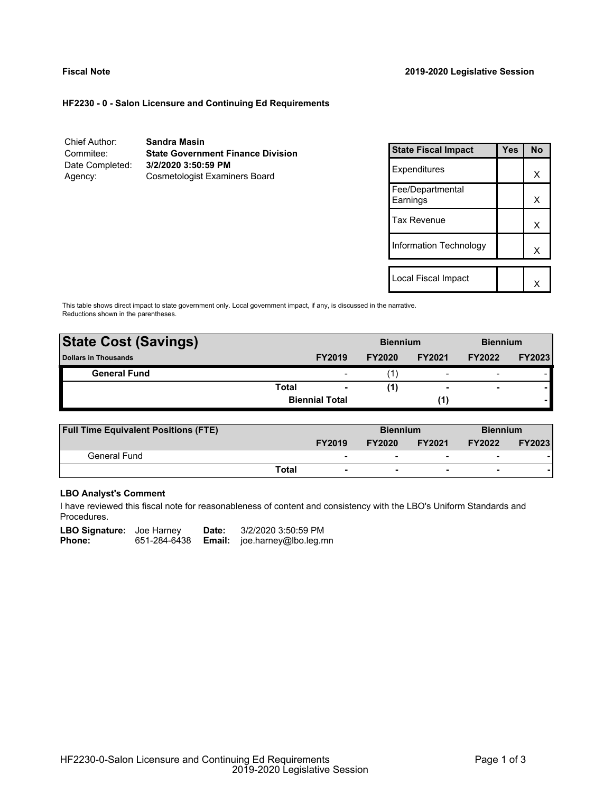# **HF2230 - 0 - Salon Licensure and Continuing Ed Requirements**

| Chief Author:   | <b>Sandra Masin</b>                      |
|-----------------|------------------------------------------|
| Commitee:       | <b>State Government Finance Division</b> |
| Date Completed: | 3/2/2020 3:50:59 PM                      |
| Agency:         | <b>Cosmetologist Examiners Board</b>     |

| <b>State Fiscal Impact</b>   | Yes | <b>No</b> |
|------------------------------|-----|-----------|
| Expenditures                 |     | x         |
| Fee/Departmental<br>Earnings |     | x         |
| <b>Tax Revenue</b>           |     | X         |
| Information Technology       |     | x         |
| Local Fiscal Impact          |     |           |
|                              |     |           |

This table shows direct impact to state government only. Local government impact, if any, is discussed in the narrative. Reductions shown in the parentheses.

| <b>State Cost (Savings)</b> |                       |                          | <b>Biennium</b> |                          | <b>Biennium</b>          |               |
|-----------------------------|-----------------------|--------------------------|-----------------|--------------------------|--------------------------|---------------|
| <b>Dollars in Thousands</b> |                       | <b>FY2019</b>            | <b>FY2020</b>   | <b>FY2021</b>            | <b>FY2022</b>            | <b>FY2023</b> |
| <b>General Fund</b>         |                       | $\overline{\phantom{0}}$ |                 | $\overline{\phantom{0}}$ | $\overline{\phantom{a}}$ |               |
|                             | Total                 | ٠                        | (1)             |                          | $\overline{\phantom{a}}$ |               |
|                             | <b>Biennial Total</b> |                          |                 |                          |                          |               |
|                             |                       |                          |                 |                          |                          |               |

| <b>Full Time Equivalent Positions (FTE)</b> |                                   | <b>Biennium</b> |                          | <b>Biennium</b>          |               |
|---------------------------------------------|-----------------------------------|-----------------|--------------------------|--------------------------|---------------|
|                                             | <b>FY2019</b>                     | <b>FY2020</b>   | <b>FY2021</b>            | <b>FY2022</b>            | <b>FY2023</b> |
| General Fund                                | $\overline{\phantom{a}}$          | -               | $\overline{\phantom{0}}$ | $\overline{\phantom{a}}$ |               |
|                                             | Total<br>$\overline{\phantom{a}}$ | ۰               | $\overline{\phantom{0}}$ | $\overline{\phantom{0}}$ |               |

# **LBO Analyst's Comment**

I have reviewed this fiscal note for reasonableness of content and consistency with the LBO's Uniform Standards and Procedures.

| <b>LBO Signature:</b> Joe Harney |              | Date: | 3/2/2020 3:50:59 PM                 |
|----------------------------------|--------------|-------|-------------------------------------|
| Phone:                           | 651-284-6438 |       | <b>Email:</b> joe.harney@lbo.leg.mn |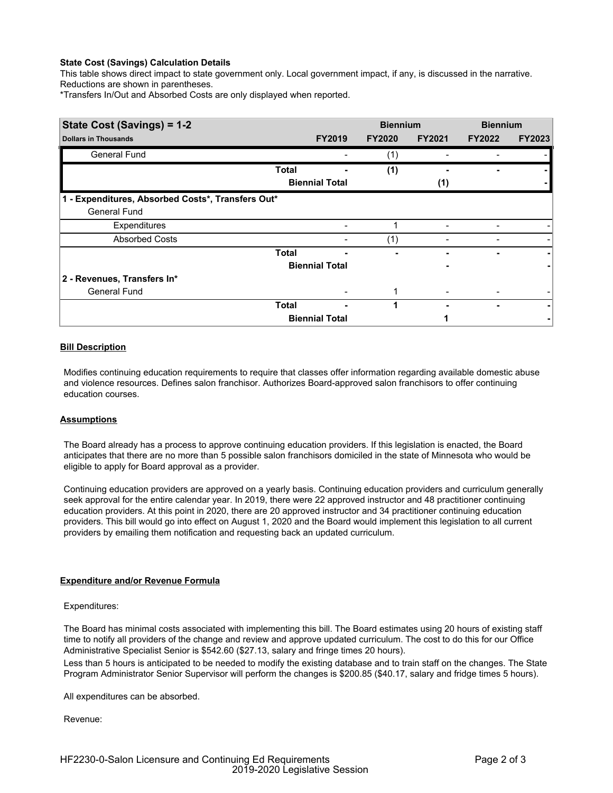## **State Cost (Savings) Calculation Details**

This table shows direct impact to state government only. Local government impact, if any, is discussed in the narrative. Reductions are shown in parentheses.

\*Transfers In/Out and Absorbed Costs are only displayed when reported.

| State Cost (Savings) = 1-2                        |              |                       | <b>Biennium</b> |               | <b>Biennium</b> |               |
|---------------------------------------------------|--------------|-----------------------|-----------------|---------------|-----------------|---------------|
| <b>Dollars in Thousands</b>                       |              | <b>FY2019</b>         | <b>FY2020</b>   | <b>FY2021</b> | <b>FY2022</b>   | <b>FY2023</b> |
| <b>General Fund</b>                               |              |                       | (1)             |               |                 |               |
|                                                   | <b>Total</b> |                       | (1)             |               |                 |               |
|                                                   |              | <b>Biennial Total</b> |                 | (1)           |                 |               |
| 1 - Expenditures, Absorbed Costs*, Transfers Out* |              |                       |                 |               |                 |               |
| <b>General Fund</b>                               |              |                       |                 |               |                 |               |
| Expenditures                                      |              |                       |                 |               |                 |               |
| <b>Absorbed Costs</b>                             |              |                       | (1)             |               |                 |               |
|                                                   | <b>Total</b> |                       |                 |               |                 |               |
|                                                   |              | <b>Biennial Total</b> |                 |               |                 |               |
| 2 - Revenues, Transfers In*                       |              |                       |                 |               |                 |               |
| <b>General Fund</b>                               |              |                       |                 |               |                 |               |
|                                                   | <b>Total</b> |                       |                 |               |                 |               |
|                                                   |              | <b>Biennial Total</b> |                 |               |                 |               |

## **Bill Description**

Modifies continuing education requirements to require that classes offer information regarding available domestic abuse and violence resources. Defines salon franchisor. Authorizes Board-approved salon franchisors to offer continuing education courses.

### **Assumptions**

The Board already has a process to approve continuing education providers. If this legislation is enacted, the Board anticipates that there are no more than 5 possible salon franchisors domiciled in the state of Minnesota who would be eligible to apply for Board approval as a provider.

Continuing education providers are approved on a yearly basis. Continuing education providers and curriculum generally seek approval for the entire calendar year. In 2019, there were 22 approved instructor and 48 practitioner continuing education providers. At this point in 2020, there are 20 approved instructor and 34 practitioner continuing education providers. This bill would go into effect on August 1, 2020 and the Board would implement this legislation to all current providers by emailing them notification and requesting back an updated curriculum.

### **Expenditure and/or Revenue Formula**

### Expenditures:

The Board has minimal costs associated with implementing this bill. The Board estimates using 20 hours of existing staff time to notify all providers of the change and review and approve updated curriculum. The cost to do this for our Office Administrative Specialist Senior is \$542.60 (\$27.13, salary and fringe times 20 hours).

Less than 5 hours is anticipated to be needed to modify the existing database and to train staff on the changes. The State Program Administrator Senior Supervisor will perform the changes is \$200.85 (\$40.17, salary and fridge times 5 hours).

All expenditures can be absorbed.

Revenue: